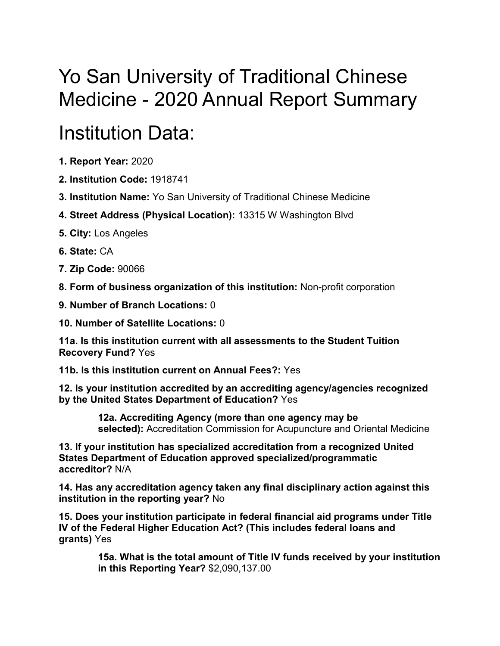## Yo San University of Traditional Chinese Medicine - 2020 Annual Report Summary

## Institution Data:

- **1. Report Year:** 2020
- **2. Institution Code:** 1918741
- **3. Institution Name:** Yo San University of Traditional Chinese Medicine
- **4. Street Address (Physical Location):** 13315 W Washington Blvd
- **5. City:** Los Angeles
- **6. State:** CA
- **7. Zip Code:** 90066
- **8. Form of business organization of this institution:** Non-profit corporation
- **9. Number of Branch Locations:** 0
- **10. Number of Satellite Locations:** 0

**11a. Is this institution current with all assessments to the Student Tuition Recovery Fund?** Yes

**11b. Is this institution current on Annual Fees?:** Yes

**12. Is your institution accredited by an accrediting agency/agencies recognized by the United States Department of Education?** Yes

> **12a. Accrediting Agency (more than one agency may be selected):** Accreditation Commission for Acupuncture and Oriental Medicine

**13. If your institution has specialized accreditation from a recognized United States Department of Education approved specialized/programmatic accreditor?** N/A

**14. Has any accreditation agency taken any final disciplinary action against this institution in the reporting year?** No

**15. Does your institution participate in federal financial aid programs under Title IV of the Federal Higher Education Act? (This includes federal loans and grants)** Yes

> **15a. What is the total amount of Title IV funds received by your institution in this Reporting Year?** \$2,090,137.00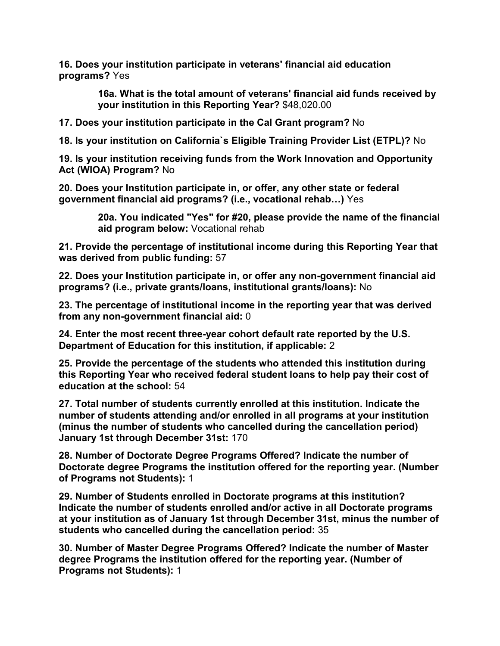**16. Does your institution participate in veterans' financial aid education programs?** Yes

> **16a. What is the total amount of veterans' financial aid funds received by your institution in this Reporting Year?** \$48,020.00

**17. Does your institution participate in the Cal Grant program?** No

**18. Is your institution on California`s Eligible Training Provider List (ETPL)?** No

**19. Is your institution receiving funds from the Work Innovation and Opportunity Act (WIOA) Program?** No

**20. Does your Institution participate in, or offer, any other state or federal government financial aid programs? (i.e., vocational rehab…)** Yes

> **20a. You indicated "Yes" for #20, please provide the name of the financial aid program below:** Vocational rehab

**21. Provide the percentage of institutional income during this Reporting Year that was derived from public funding:** 57

**22. Does your Institution participate in, or offer any non-government financial aid programs? (i.e., private grants/loans, institutional grants/loans):** No

**23. The percentage of institutional income in the reporting year that was derived from any non-government financial aid:** 0

**24. Enter the most recent three-year cohort default rate reported by the U.S. Department of Education for this institution, if applicable:** 2

**25. Provide the percentage of the students who attended this institution during this Reporting Year who received federal student loans to help pay their cost of education at the school:** 54

**27. Total number of students currently enrolled at this institution. Indicate the number of students attending and/or enrolled in all programs at your institution (minus the number of students who cancelled during the cancellation period) January 1st through December 31st:** 170

**28. Number of Doctorate Degree Programs Offered? Indicate the number of Doctorate degree Programs the institution offered for the reporting year. (Number of Programs not Students):** 1

**29. Number of Students enrolled in Doctorate programs at this institution? Indicate the number of students enrolled and/or active in all Doctorate programs at your institution as of January 1st through December 31st, minus the number of students who cancelled during the cancellation period:** 35

**30. Number of Master Degree Programs Offered? Indicate the number of Master degree Programs the institution offered for the reporting year. (Number of Programs not Students):** 1